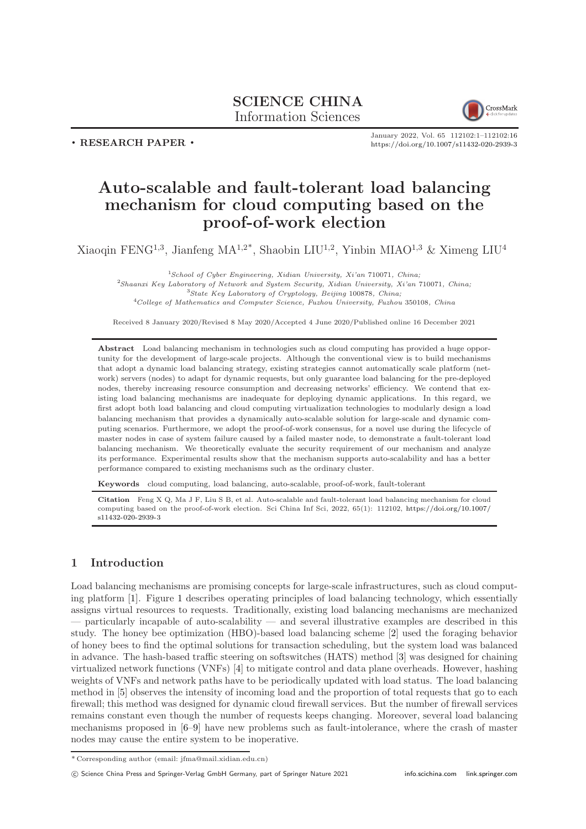# SCIENCE CHINA Information Sciences



. RESEARCH PAPER .

January 2022, Vol. 65 112102:1–112102[:16](#page-15-0) <https://doi.org/10.1007/s11432-020-2939-3>

# Auto-scalable and fault-tolerant load balancing mechanism for cloud computing based on the proof-of-work election

Xiaoqin FENG<sup>1,3</sup>, Jianfeng MA<sup>1,2\*</sup>, Shaobin LIU<sup>1,2</sup>, Yinbin MIAO<sup>1,3</sup> & Ximeng LIU<sup>4</sup>

School of Cyber Engineering, Xidian University, Xi'an 710071, China; Shaanxi Key Laboratory of Network and System Security, Xidian University, Xi'an 710071, China; <sup>3</sup>State Key Laboratory of Cryptology, Beijing 100878, China; College of Mathematics and Computer Science, Fuzhou University, Fuzhou 350108, China

Received 8 January 2020/Revised 8 May 2020/Accepted 4 June 2020/Published online 16 December 2021

Abstract Load balancing mechanism in technologies such as cloud computing has provided a huge opportunity for the development of large-scale projects. Although the conventional view is to build mechanisms that adopt a dynamic load balancing strategy, existing strategies cannot automatically scale platform (network) servers (nodes) to adapt for dynamic requests, but only guarantee load balancing for the pre-deployed nodes, thereby increasing resource consumption and decreasing networks' efficiency. We contend that existing load balancing mechanisms are inadequate for deploying dynamic applications. In this regard, we first adopt both load balancing and cloud computing virtualization technologies to modularly design a load balancing mechanism that provides a dynamically auto-scalable solution for large-scale and dynamic computing scenarios. Furthermore, we adopt the proof-of-work consensus, for a novel use during the lifecycle of master nodes in case of system failure caused by a failed master node, to demonstrate a fault-tolerant load balancing mechanism. We theoretically evaluate the security requirement of our mechanism and analyze its performance. Experimental results show that the mechanism supports auto-scalability and has a better performance compared to existing mechanisms such as the ordinary cluster.

Keywords cloud computing, load balancing, auto-scalable, proof-of-work, fault-tolerant

Citation Feng X Q, Ma J F, Liu S B, et al. Auto-scalable and fault-tolerant load balancing mechanism for cloud computing based on the proof-of-work election. Sci China Inf Sci, 2022, 65(1): 112102, [https://doi.org/10.1007/](https://doi.org/10.1007/s11432-020-2939-3) [s11432-020-2939-3](https://doi.org/10.1007/s11432-020-2939-3)

# 1 Introduction

Load balancing mechanisms are promising concepts for large-scale infrastructures, such as cloud computing platform [\[1\]](#page-14-0). Figure [1](#page-1-0) describes operating principles of load balancing technology, which essentially assigns virtual resources to requests. Traditionally, existing load balancing mechanisms are mechanized  $-$  particularly incapable of auto-scalability  $-$  and several illustrative examples are described in this study. The honey bee optimization (HBO)-based load balancing scheme [\[2\]](#page-14-1) used the foraging behavior of honey bees to find the optimal solutions for transaction scheduling, but the system load was balanced in advance. The hash-based traffic steering on softswitches (HATS) method [\[3\]](#page-14-2) was designed for chaining virtualized network functions (VNFs) [\[4\]](#page-14-3) to mitigate control and data plane overheads. However, hashing weights of VNFs and network paths have to be periodically updated with load status. The load balancing method in [\[5\]](#page-14-4) observes the intensity of incoming load and the proportion of total requests that go to each firewall; this method was designed for dynamic cloud firewall services. But the number of firewall services remains constant even though the number of requests keeps changing. Moreover, several load balancing mechanisms proposed in [\[6](#page-14-5)[–9\]](#page-14-6) have new problems such as fault-intolerance, where the crash of master nodes may cause the entire system to be inoperative.

<sup>\*</sup> Corresponding author (email: jfma@mail.xidian.edu.cn)

c Science China Press and Springer-Verlag GmbH Germany, part of Springer Nature 2021 <info.scichina.com><link.springer.com>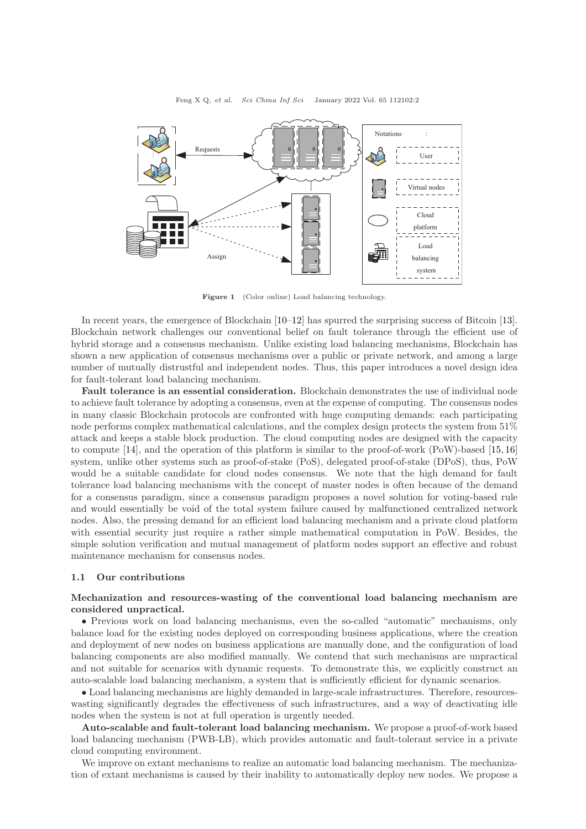<span id="page-1-0"></span>

Figure 1 (Color online) Load balancing technology.

In recent years, the emergence of Blockchain [\[10](#page-14-7)[–12\]](#page-14-8) has spurred the surprising success of Bitcoin [\[13\]](#page-14-9). Blockchain network challenges our conventional belief on fault tolerance through the efficient use of hybrid storage and a consensus mechanism. Unlike existing load balancing mechanisms, Blockchain has shown a new application of consensus mechanisms over a public or private network, and among a large number of mutually distrustful and independent nodes. Thus, this paper introduces a novel design idea for fault-tolerant load balancing mechanism.

Fault tolerance is an essential consideration. Blockchain demonstrates the use of individual node to achieve fault tolerance by adopting a consensus, even at the expense of computing. The consensus nodes in many classic Blockchain protocols are confronted with huge computing demands: each participating node performs complex mathematical calculations, and the complex design protects the system from 51% attack and keeps a stable block production. The cloud computing nodes are designed with the capacity to compute [\[14\]](#page-14-10), and the operation of this platform is similar to the proof-of-work (PoW)-based [\[15,](#page-14-11) [16\]](#page-14-12) system, unlike other systems such as proof-of-stake (PoS), delegated proof-of-stake (DPoS), thus, PoW would be a suitable candidate for cloud nodes consensus. We note that the high demand for fault tolerance load balancing mechanisms with the concept of master nodes is often because of the demand for a consensus paradigm, since a consensus paradigm proposes a novel solution for voting-based rule and would essentially be void of the total system failure caused by malfunctioned centralized network nodes. Also, the pressing demand for an efficient load balancing mechanism and a private cloud platform with essential security just require a rather simple mathematical computation in PoW. Besides, the simple solution verification and mutual management of platform nodes support an effective and robust maintenance mechanism for consensus nodes.

### 1.1 Our contributions

# Mechanization and resources-wasting of the conventional load balancing mechanism are considered unpractical.

• Previous work on load balancing mechanisms, even the so-called "automatic" mechanisms, only balance load for the existing nodes deployed on corresponding business applications, where the creation and deployment of new nodes on business applications are manually done, and the configuration of load balancing components are also modified manually. We contend that such mechanisms are unpractical and not suitable for scenarios with dynamic requests. To demonstrate this, we explicitly construct an auto-scalable load balancing mechanism, a system that is sufficiently efficient for dynamic scenarios.

• Load balancing mechanisms are highly demanded in large-scale infrastructures. Therefore, resourceswasting significantly degrades the effectiveness of such infrastructures, and a way of deactivating idle nodes when the system is not at full operation is urgently needed.

Auto-scalable and fault-tolerant load balancing mechanism. We propose a proof-of-work based load balancing mechanism (PWB-LB), which provides automatic and fault-tolerant service in a private cloud computing environment.

We improve on extant mechanisms to realize an automatic load balancing mechanism. The mechanization of extant mechanisms is caused by their inability to automatically deploy new nodes. We propose a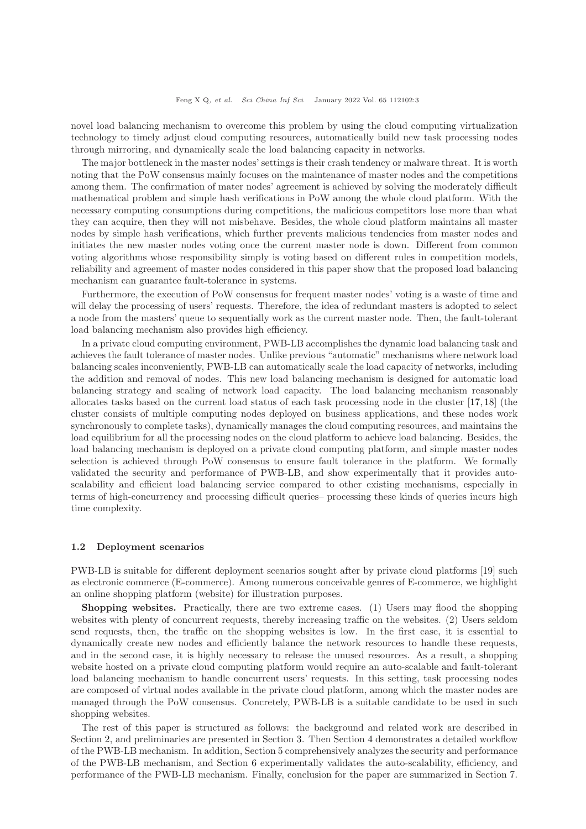novel load balancing mechanism to overcome this problem by using the cloud computing virtualization technology to timely adjust cloud computing resources, automatically build new task processing nodes through mirroring, and dynamically scale the load balancing capacity in networks.

The major bottleneck in the master nodes' settings is their crash tendency or malware threat. It is worth noting that the PoW consensus mainly focuses on the maintenance of master nodes and the competitions among them. The confirmation of mater nodes' agreement is achieved by solving the moderately difficult mathematical problem and simple hash verifications in PoW among the whole cloud platform. With the necessary computing consumptions during competitions, the malicious competitors lose more than what they can acquire, then they will not misbehave. Besides, the whole cloud platform maintains all master nodes by simple hash verifications, which further prevents malicious tendencies from master nodes and initiates the new master nodes voting once the current master node is down. Different from common voting algorithms whose responsibility simply is voting based on different rules in competition models, reliability and agreement of master nodes considered in this paper show that the proposed load balancing mechanism can guarantee fault-tolerance in systems.

Furthermore, the execution of PoW consensus for frequent master nodes' voting is a waste of time and will delay the processing of users' requests. Therefore, the idea of redundant masters is adopted to select a node from the masters' queue to sequentially work as the current master node. Then, the fault-tolerant load balancing mechanism also provides high efficiency.

In a private cloud computing environment, PWB-LB accomplishes the dynamic load balancing task and achieves the fault tolerance of master nodes. Unlike previous "automatic" mechanisms where network load balancing scales inconveniently, PWB-LB can automatically scale the load capacity of networks, including the addition and removal of nodes. This new load balancing mechanism is designed for automatic load balancing strategy and scaling of network load capacity. The load balancing mechanism reasonably allocates tasks based on the current load status of each task processing node in the cluster [\[17,](#page-14-13) [18\]](#page-14-14) (the cluster consists of multiple computing nodes deployed on business applications, and these nodes work synchronously to complete tasks), dynamically manages the cloud computing resources, and maintains the load equilibrium for all the processing nodes on the cloud platform to achieve load balancing. Besides, the load balancing mechanism is deployed on a private cloud computing platform, and simple master nodes selection is achieved through PoW consensus to ensure fault tolerance in the platform. We formally validated the security and performance of PWB-LB, and show experimentally that it provides autoscalability and efficient load balancing service compared to other existing mechanisms, especially in terms of high-concurrency and processing difficult queries– processing these kinds of queries incurs high time complexity.

#### 1.2 Deployment scenarios

PWB-LB is suitable for different deployment scenarios sought after by private cloud platforms [\[19\]](#page-14-15) such as electronic commerce (E-commerce). Among numerous conceivable genres of E-commerce, we highlight an online shopping platform (website) for illustration purposes.

Shopping websites. Practically, there are two extreme cases. (1) Users may flood the shopping websites with plenty of concurrent requests, thereby increasing traffic on the websites. (2) Users seldom send requests, then, the traffic on the shopping websites is low. In the first case, it is essential to dynamically create new nodes and efficiently balance the network resources to handle these requests, and in the second case, it is highly necessary to release the unused resources. As a result, a shopping website hosted on a private cloud computing platform would require an auto-scalable and fault-tolerant load balancing mechanism to handle concurrent users' requests. In this setting, task processing nodes are composed of virtual nodes available in the private cloud platform, among which the master nodes are managed through the PoW consensus. Concretely, PWB-LB is a suitable candidate to be used in such shopping websites.

The rest of this paper is structured as follows: the background and related work are described in Section [2,](#page-3-0) and preliminaries are presented in Section [3.](#page-3-1) Then Section [4](#page-4-0) demonstrates a detailed workflow of the PWB-LB mechanism. In addition, Section [5](#page-8-0) comprehensively analyzes the security and performance of the PWB-LB mechanism, and Section [6](#page-12-0) experimentally validates the auto-scalability, efficiency, and performance of the PWB-LB mechanism. Finally, conclusion for the paper are summarized in Section [7.](#page-14-16)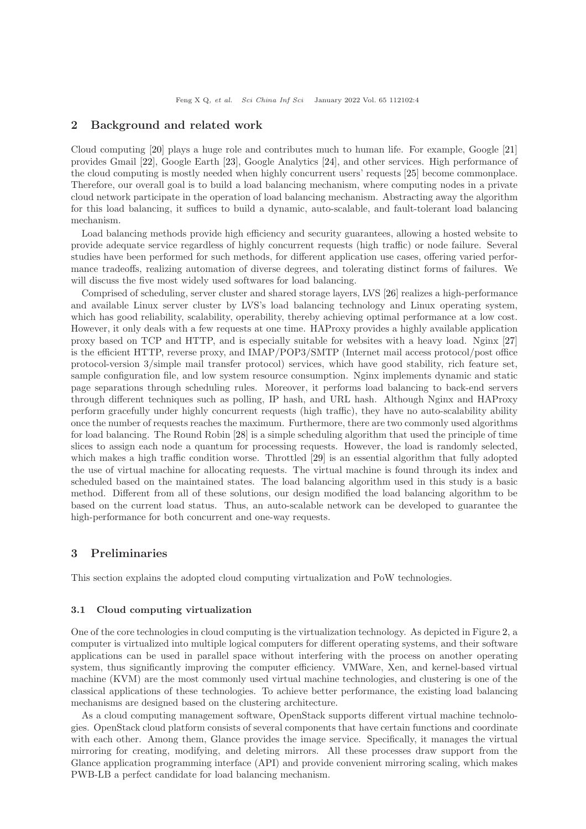# <span id="page-3-0"></span>2 Background and related work

Cloud computing [\[20\]](#page-15-1) plays a huge role and contributes much to human life. For example, Google [\[21\]](#page-15-2) provides Gmail [\[22\]](#page-15-3), Google Earth [\[23\]](#page-15-4), Google Analytics [\[24\]](#page-15-5), and other services. High performance of the cloud computing is mostly needed when highly concurrent users' requests [\[25\]](#page-15-6) become commonplace. Therefore, our overall goal is to build a load balancing mechanism, where computing nodes in a private cloud network participate in the operation of load balancing mechanism. Abstracting away the algorithm for this load balancing, it suffices to build a dynamic, auto-scalable, and fault-tolerant load balancing mechanism.

Load balancing methods provide high efficiency and security guarantees, allowing a hosted website to provide adequate service regardless of highly concurrent requests (high traffic) or node failure. Several studies have been performed for such methods, for different application use cases, offering varied performance tradeoffs, realizing automation of diverse degrees, and tolerating distinct forms of failures. We will discuss the five most widely used softwares for load balancing.

Comprised of scheduling, server cluster and shared storage layers, LVS [\[26\]](#page-15-7) realizes a high-performance and available Linux server cluster by LVS's load balancing technology and Linux operating system, which has good reliability, scalability, operability, thereby achieving optimal performance at a low cost. However, it only deals with a few requests at one time. HAProxy provides a highly available application proxy based on TCP and HTTP, and is especially suitable for websites with a heavy load. Nginx [\[27\]](#page-15-8) is the efficient HTTP, reverse proxy, and IMAP/POP3/SMTP (Internet mail access protocol/post office protocol-version 3/simple mail transfer protocol) services, which have good stability, rich feature set, sample configuration file, and low system resource consumption. Nginx implements dynamic and static page separations through scheduling rules. Moreover, it performs load balancing to back-end servers through different techniques such as polling, IP hash, and URL hash. Although Nginx and HAProxy perform gracefully under highly concurrent requests (high traffic), they have no auto-scalability ability once the number of requests reaches the maximum. Furthermore, there are two commonly used algorithms for load balancing. The Round Robin [\[28\]](#page-15-9) is a simple scheduling algorithm that used the principle of time slices to assign each node a quantum for processing requests. However, the load is randomly selected, which makes a high traffic condition worse. Throttled [\[29\]](#page-15-10) is an essential algorithm that fully adopted the use of virtual machine for allocating requests. The virtual machine is found through its index and scheduled based on the maintained states. The load balancing algorithm used in this study is a basic method. Different from all of these solutions, our design modified the load balancing algorithm to be based on the current load status. Thus, an auto-scalable network can be developed to guarantee the high-performance for both concurrent and one-way requests.

# <span id="page-3-1"></span>3 Preliminaries

This section explains the adopted cloud computing virtualization and PoW technologies.

### 3.1 Cloud computing virtualization

One of the core technologies in cloud computing is the virtualization technology. As depicted in Figure [2,](#page-4-1) a computer is virtualized into multiple logical computers for different operating systems, and their software applications can be used in parallel space without interfering with the process on another operating system, thus significantly improving the computer efficiency. VMWare, Xen, and kernel-based virtual machine (KVM) are the most commonly used virtual machine technologies, and clustering is one of the classical applications of these technologies. To achieve better performance, the existing load balancing mechanisms are designed based on the clustering architecture.

As a cloud computing management software, OpenStack supports different virtual machine technologies. OpenStack cloud platform consists of several components that have certain functions and coordinate with each other. Among them, Glance provides the image service. Specifically, it manages the virtual mirroring for creating, modifying, and deleting mirrors. All these processes draw support from the Glance application programming interface (API) and provide convenient mirroring scaling, which makes PWB-LB a perfect candidate for load balancing mechanism.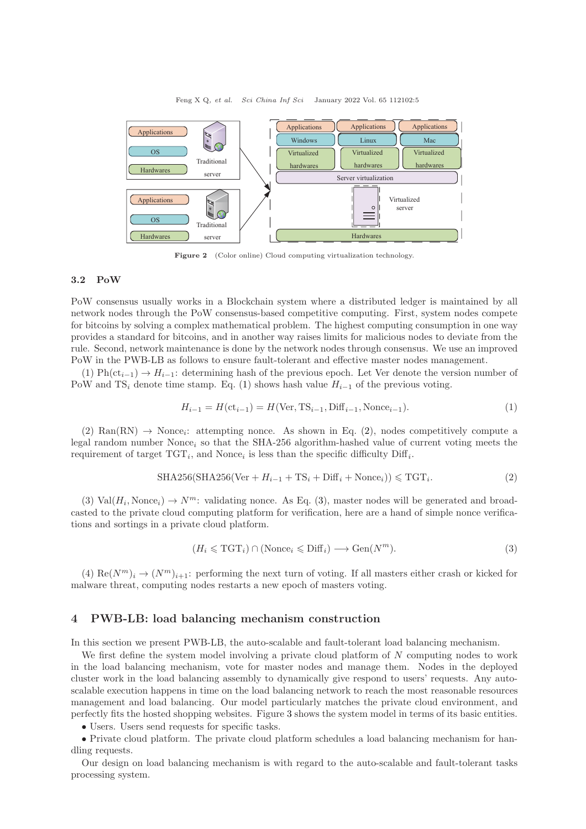<span id="page-4-1"></span>

Figure 2 (Color online) Cloud computing virtualization technology.

#### 3.2 PoW

PoW consensus usually works in a Blockchain system where a distributed ledger is maintained by all network nodes through the PoW consensus-based competitive computing. First, system nodes compete for bitcoins by solving a complex mathematical problem. The highest computing consumption in one way provides a standard for bitcoins, and in another way raises limits for malicious nodes to deviate from the rule. Second, network maintenance is done by the network nodes through consensus. We use an improved PoW in the PWB-LB as follows to ensure fault-tolerant and effective master nodes management.

(1) Ph(ct<sub>i−1</sub>)  $\rightarrow$  H<sub>i−1</sub>: determining hash of the previous epoch. Let Ver denote the version number of PoW and TS<sub>i</sub> denote time stamp. Eq. [\(1\)](#page-4-2) shows hash value  $H_{i-1}$  of the previous voting.

<span id="page-4-2"></span>
$$
H_{i-1} = H(\text{ct}_{i-1}) = H(\text{Ver}, \text{TS}_{i-1}, \text{Diff}_{i-1}, \text{None}_{i-1}).
$$
\n(1)

 $(2)$  Ran(RN)  $\rightarrow$  Nonce<sub>i</sub>: attempting nonce. As shown in Eq. [\(2\)](#page-4-3), nodes competitively compute a legal random number Nonce<sub>i</sub> so that the SHA-256 algorithm-hashed value of current voting meets the requirement of target  $TGT_i$ , and Nonce<sub>i</sub> is less than the specific difficulty  $\text{Diff}_i$ .

<span id="page-4-3"></span>
$$
SHA256(SHA256(Ver + H_{i-1} + TS_i + Diff_i + None_i)) \leq TGT_i.
$$
\n<sup>(2)</sup>

(3) Val $(H_i, \text{None}_i) \to N^m$ : validating nonce. As Eq. [\(3\)](#page-4-4), master nodes will be generated and broadcasted to the private cloud computing platform for verification, here are a hand of simple nonce verifications and sortings in a private cloud platform.

$$
(H_i \leqslant \text{TGT}_i) \cap (\text{None}_i \leqslant \text{Diff}_i) \longrightarrow \text{Gen}(N^m). \tag{3}
$$

<span id="page-4-4"></span>(4) Re $(N^m)_i \to (N^m)_{i+1}$ : performing the next turn of voting. If all masters either crash or kicked for malware threat, computing nodes restarts a new epoch of masters voting.

## <span id="page-4-0"></span>4 PWB-LB: load balancing mechanism construction

In this section we present PWB-LB, the auto-scalable and fault-tolerant load balancing mechanism.

We first define the system model involving a private cloud platform of N computing nodes to work in the load balancing mechanism, vote for master nodes and manage them. Nodes in the deployed cluster work in the load balancing assembly to dynamically give respond to users' requests. Any autoscalable execution happens in time on the load balancing network to reach the most reasonable resources management and load balancing. Our model particularly matches the private cloud environment, and perfectly fits the hosted shopping websites. Figure [3](#page-5-0) shows the system model in terms of its basic entities.

• Users. Users send requests for specific tasks.

• Private cloud platform. The private cloud platform schedules a load balancing mechanism for handling requests.

Our design on load balancing mechanism is with regard to the auto-scalable and fault-tolerant tasks processing system.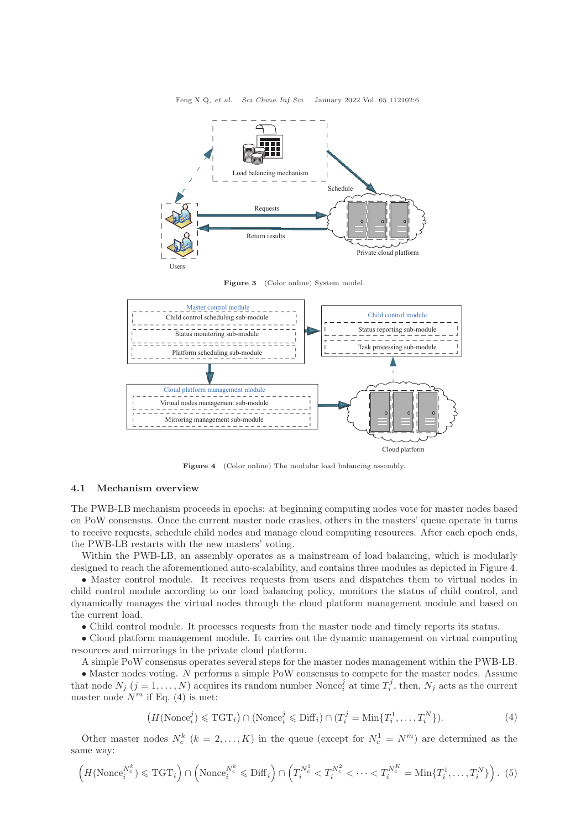<span id="page-5-0"></span>

Feng X Q, et al. Sci China Inf Sci January 2022 Vol. 65 112102:6

Figure 3 (Color online) System model.

<span id="page-5-1"></span>

Figure 4 (Color online) The modular load balancing assembly.

#### 4.1 Mechanism overview

The PWB-LB mechanism proceeds in epochs: at beginning computing nodes vote for master nodes based on PoW consensus. Once the current master node crashes, others in the masters' queue operate in turns to receive requests, schedule child nodes and manage cloud computing resources. After each epoch ends, the PWB-LB restarts with the new masters' voting.

Within the PWB-LB, an assembly operates as a mainstream of load balancing, which is modularly designed to reach the aforementioned auto-scalability, and contains three modules as depicted in Figure [4.](#page-5-1)

• Master control module. It receives requests from users and dispatches them to virtual nodes in child control module according to our load balancing policy, monitors the status of child control, and dynamically manages the virtual nodes through the cloud platform management module and based on the current load.

• Child control module. It processes requests from the master node and timely reports its status.

• Cloud platform management module. It carries out the dynamic management on virtual computing resources and mirrorings in the private cloud platform.

A simple PoW consensus operates several steps for the master nodes management within the PWB-LB.

• Master nodes voting. N performs a simple PoW consensus to compete for the master nodes. Assume that node  $N_j$   $(j = 1, ..., N)$  acquires its random number Nonce<sub>i</sub> at time  $T_i^j$ , then,  $N_j$  acts as the current master node  $N^m$  if Eq. [\(4\)](#page-5-2) is met:

<span id="page-5-2"></span>
$$
(H(\text{None}_i^j) \leq \text{TGT}_i) \cap (\text{None}_i^j \leq \text{Diff}_i) \cap (T_i^j = \text{Min}\{T_i^1, \dots, T_i^N\}).\tag{4}
$$

Other master nodes  $N_c^k$   $(k = 2, ..., K)$  in the queue (except for  $N_c^1 = N^m$ ) are determined as the same way:

$$
\left(H(\mathrm{None}_{i}^{N_c^k}) \leqslant \mathrm{TGT}_{i}\right) \cap \left(\mathrm{None}_{i}^{N_c^k} \leqslant \mathrm{Diff}_{i}\right) \cap \left(T_i^{N_c^1} < T_i^{N_c^2} < \cdots < T_i^{N_c^K} = \mathrm{Min}\{T_i^1, \ldots, T_i^N\}\right). \tag{5}
$$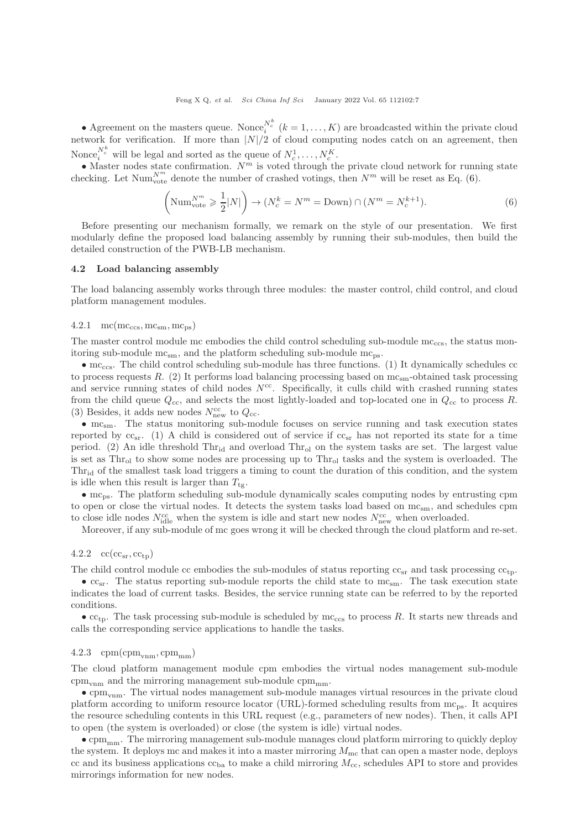Feng X Q, et al. Sci China Inf Sci January 2022 Vol. 65 112102:7

• Agreement on the masters queue. Nonce<sup>N<sub>k</sub></sup>  $(k = 1, ..., K)$  are broadcasted within the private cloud network for verification. If more than  $|N|/2$  of cloud computing nodes catch on an agreement, then Nonce,  $\boldsymbol{N_c^k}$  will be legal and sorted as the queue of  $N_c^1,\ldots,N_c^K.$ 

• Master nodes state confirmation.  $N^m$  is voted through the private cloud network for running state checking. Let  $\text{Num}_{\text{vote}}^{N^m}$  denote the number of crashed votings, then  $N^m$  will be reset as Eq. [\(6\)](#page-6-0).

<span id="page-6-0"></span>
$$
\left(\text{Num}_{\text{vote}}^{N^m} \geqslant \frac{1}{2}|N|\right) \to \left(N_c^k = N^m = \text{Down}\right) \cap \left(N^m = N_c^{k+1}\right). \tag{6}
$$

Before presenting our mechanism formally, we remark on the style of our presentation. We first modularly define the proposed load balancing assembly by running their sub-modules, then build the detailed construction of the PWB-LB mechanism.

#### 4.2 Load balancing assembly

The load balancing assembly works through three modules: the master control, child control, and cloud platform management modules.

#### $4.2.1 \quad mc(mc_{\rm ccs}, mc_{\rm sm}, mc_{\rm ps})$

The master control module mc embodies the child control scheduling sub-module  $mc_{\text{ccs}}$ , the status monitoring sub-module  $mc_{sm}$ , and the platform scheduling sub-module  $mc_{ns}$ .

 $\bullet$  mc<sub>ccs</sub>. The child control scheduling sub-module has three functions. (1) It dynamically schedules cc to process requests  $R.$  (2) It performs load balancing processing based on  $mc<sub>sm</sub>$ -obtained task processing and service running states of child nodes  $N<sup>cc</sup>$ . Specifically, it culls child with crashed running states from the child queue  $Q_{\text{cc}}$ , and selects the most lightly-loaded and top-located one in  $Q_{\text{cc}}$  to process R. (3) Besides, it adds new nodes  $N^{\text{cc}}_{\text{new}}$  to  $Q_{\text{cc}}$ .

• mc<sub>sm</sub>. The status monitoring sub-module focuses on service running and task execution states reported by  $cc_{sr}$ . (1) A child is considered out of service if  $cc_{sr}$  has not reported its state for a time period. (2) An idle threshold  $Thr_{\rm id}$  and overload  $Thr_{\rm ol}$  on the system tasks are set. The largest value is set as  $Thr<sub>ol</sub>$  to show some nodes are processing up to  $Thr<sub>ol</sub>$  tasks and the system is overloaded. The Thr<sub>id</sub> of the smallest task load triggers a timing to count the duration of this condition, and the system is idle when this result is larger than  $T_{\text{te}}$ .

 $\bullet$  mc<sub>ps</sub>. The platform scheduling sub-module dynamically scales computing nodes by entrusting cpm to open or close the virtual nodes. It detects the system tasks load based on  $mc_{sm}$ , and schedules cpm to close idle nodes  $N_{\text{idle}}^{\text{cc}}$  when the system is idle and start new nodes  $N_{\text{new}}^{\text{cc}}$  when overloaded.

Moreover, if any sub-module of mc goes wrong it will be checked through the cloud platform and re-set.

#### $4.2.2 \quad \text{cc}(cc_{sr}, cc_{tp})$

The child control module cc embodies the sub-modules of status reporting  $cc_{sr}$  and task processing  $cc_{tp}$ .

 $\bullet$  cc<sub>sr</sub>. The status reporting sub-module reports the child state to mc<sub>sm</sub>. The task execution state indicates the load of current tasks. Besides, the service running state can be referred to by the reported conditions.

 $\bullet$  cc<sub>tp</sub>. The task processing sub-module is scheduled by mc<sub>ccs</sub> to process R. It starts new threads and calls the corresponding service applications to handle the tasks.

#### 4.2.3 cpm(cpm $_{\text{vnm}},$ cpm $_{\text{mm}}$ )

The cloud platform management module cpm embodies the virtual nodes management sub-module  $cpm_{\text{vnm}}$  and the mirroring management sub-module  $cpm_{\text{mm}}$ .

 $\bullet$  cpm<sub>vnm</sub>. The virtual nodes management sub-module manages virtual resources in the private cloud platform according to uniform resource locator (URL)-formed scheduling results from mcps. It acquires the resource scheduling contents in this URL request (e.g., parameters of new nodes). Then, it calls API to open (the system is overloaded) or close (the system is idle) virtual nodes.

 $\bullet$  cpm<sub>mm</sub>. The mirroring management sub-module manages cloud platform mirroring to quickly deploy the system. It deploys mc and makes it into a master mirroring  $M_{\text{mc}}$  that can open a master node, deploys cc and its business applications  $cc_{ba}$  to make a child mirroring  $M_{cc}$ , schedules API to store and provides mirrorings information for new nodes.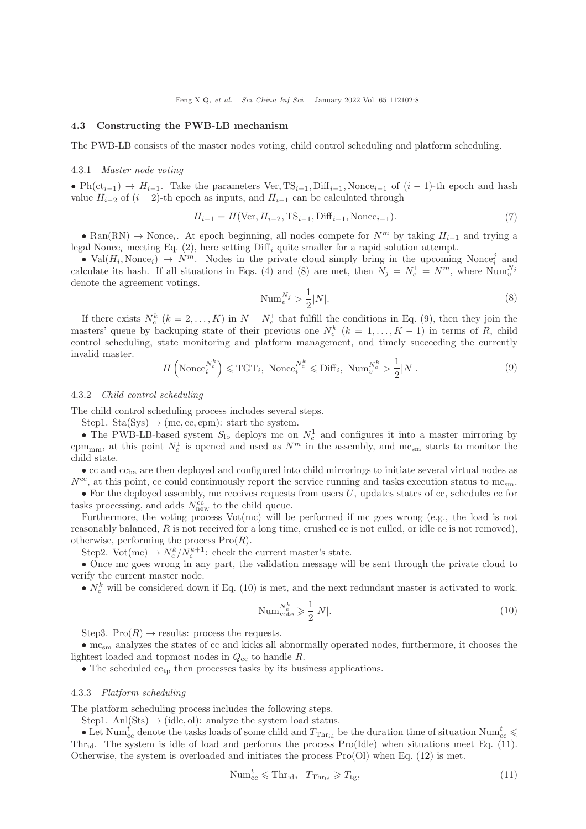#### 4.3 Constructing the PWB-LB mechanism

The PWB-LB consists of the master nodes voting, child control scheduling and platform scheduling.

#### 4.3.1 Master node voting

• Ph(ct<sub>i−1</sub>)  $\rightarrow$  H<sub>i−1</sub>. Take the parameters Ver, TS<sub>i−1</sub>, Diff<sub>i−1</sub>, Nonce<sub>i−1</sub> of (i − 1)-th epoch and hash value  $H_{i-2}$  of  $(i-2)$ -th epoch as inputs, and  $H_{i-1}$  can be calculated through

$$
H_{i-1} = H(\text{Ver}, H_{i-2}, \text{TS}_{i-1}, \text{Diff}_{i-1}, \text{Nonee}_{i-1}).
$$
\n(7)

• Ran(RN)  $\rightarrow$  Nonce<sub>i</sub>. At epoch beginning, all nodes compete for  $N^m$  by taking  $H_{i-1}$  and trying a legal Nonce<sub>i</sub> meeting Eq. [\(2\)](#page-4-3), here setting  $\text{Diff}_i$  quite smaller for a rapid solution attempt.

• Val $(H_i, \text{None}_i) \rightarrow N^m$ . Nodes in the private cloud simply bring in the upcoming Nonce<sub>i</sub> and calculate its hash. If all situations in Eqs. [\(4\)](#page-5-2) and [\(8\)](#page-7-0) are met, then  $N_j = N_c^1 = N^m$ , where  $\text{Num}_{v}^{N_j}$ denote the agreement votings.

<span id="page-7-0"></span>
$$
\text{Num}_{v}^{N_j} > \frac{1}{2}|N|. \tag{8}
$$

If there exists  $N_c^k$   $(k = 2, ..., K)$  in  $N - N_c^1$  that fulfill the conditions in Eq. [\(9\)](#page-7-1), then they join the masters' queue by backuping state of their previous one  $N_c^k$  ( $k = 1, ..., K - 1$ ) in terms of R, child control scheduling, state monitoring and platform management, and timely succeeding the currently invalid master.

<span id="page-7-1"></span>
$$
H\left(\text{None}_{i}^{N_c^k}\right) \leqslant \text{TGT}_{i}, \text{ None}_{i}^{N_c^k} \leqslant \text{Diff}_{i}, \text{ Num}_{v}^{N_c^k} > \frac{1}{2}|N|.
$$
\n
$$
(9)
$$

#### 4.3.2 Child control scheduling

The child control scheduling process includes several steps.

Step1. Sta(Sys)  $\rightarrow$  (mc, cc, cpm): start the system.

• The PWB-LB-based system  $S_{\text{lb}}$  deploys mc on  $N_c^1$  and configures it into a master mirroring by cpm<sub>mm</sub>, at this point  $N_c^1$  is opened and used as  $N^m$  in the assembly, and mc<sub>sm</sub> starts to monitor the child state.

 $\bullet$  cc and  $cc_{ba}$  are then deployed and configured into child mirrorings to initiate several virtual nodes as  $N^{\rm cc}$ , at this point, cc could continuously report the service running and tasks execution status to mc<sub>sm</sub>.

• For the deployed assembly, mc receives requests from users  $U$ , updates states of cc, schedules cc for tasks processing, and adds  $N_{\text{new}}^{\text{cc}}$  to the child queue.

Furthermore, the voting process Vot(mc) will be performed if mc goes wrong (e.g., the load is not reasonably balanced, R is not received for a long time, crushed cc is not culled, or idle cc is not removed), otherwise, performing the process  $Pro(R)$ .

Step2. Vot(mc)  $\rightarrow N_c^k/N_c^{k+1}$ : check the current master's state.

• Once mc goes wrong in any part, the validation message will be sent through the private cloud to verify the current master node.

•  $N_c^k$  will be considered down if Eq. [\(10\)](#page-7-2) is met, and the next redundant master is activated to work.

<span id="page-7-2"></span>
$$
\text{Num}_{\text{vote}}^{N_c^k} \geqslant \frac{1}{2}|N|. \tag{10}
$$

Step3. Pro $(R) \rightarrow$  results: process the requests.

 $\bullet$  mc<sub>sm</sub> analyzes the states of cc and kicks all abnormally operated nodes, furthermore, it chooses the lightest loaded and topmost nodes in  $Q_{\rm cc}$  to handle R.

• The scheduled  $cc_{tp}$  then processes tasks by its business applications.

## 4.3.3 Platform scheduling

The platform scheduling process includes the following steps.

Step1. Anl $(Sts) \rightarrow (idle, ol)$ : analyze the system load status.

• Let Num<sup>t</sup><sub>cc</sub> denote the tasks loads of some child and  $T_{\text{Thr}_{id}}$  be the duration time of situation Num<sup>t</sup><sub>cc</sub>  $\leq$ Thr<sub>id</sub>. The system is idle of load and performs the process Pro(Idle) when situations meet Eq.  $(11)$ . Otherwise, the system is overloaded and initiates the process  $Pro(Ol)$  when Eq. [\(12\)](#page-8-1) is met.

<span id="page-7-3"></span>
$$
\text{Num}_{\text{cc}}^t \leqslant \text{Thr}_{\text{id}}, \quad T_{\text{Thr}_{\text{id}}} \geqslant T_{\text{tg}},\tag{11}
$$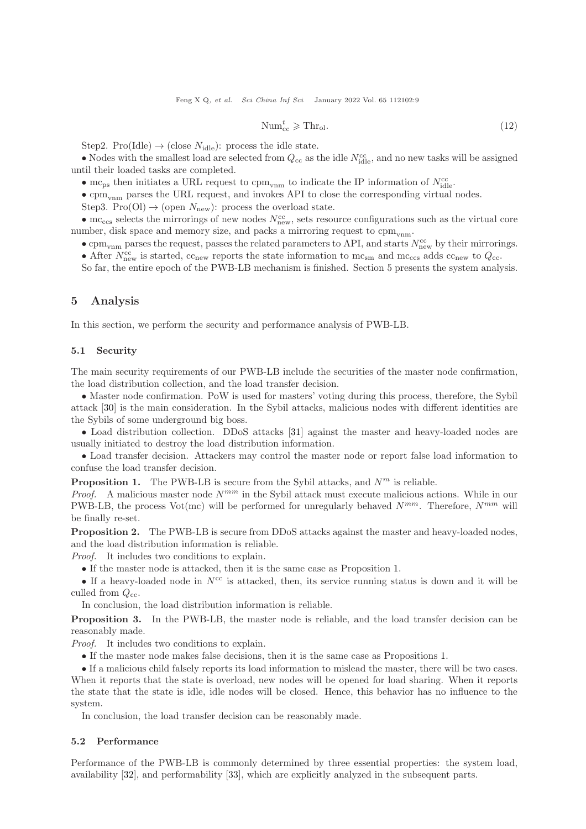<span id="page-8-1"></span>
$$
\text{Num}_{\text{cc}}^t \geqslant \text{Thr}_{\text{ol}}.\tag{12}
$$

Step2. Pro(Idle)  $\rightarrow$  (close N<sub>idle</sub>): process the idle state.

• Nodes with the smallest load are selected from  $Q_{cc}$  as the idle  $N_{\text{idle}}^{\text{cc}}$ , and no new tasks will be assigned until their loaded tasks are completed.

• mc<sub>ps</sub> then initiates a URL request to cpm<sub>vnm</sub> to indicate the IP information of  $N_{\rm idle}^{\rm cc}$ .

 $\bullet$  cpm<sub>vnm</sub> parses the URL request, and invokes API to close the corresponding virtual nodes.

Step3. Pro(Ol)  $\rightarrow$  (open  $N_{\text{new}}$ ): process the overload state.

• mc<sub>ccs</sub> selects the mirrorings of new nodes  $N_{\text{new}}^{\text{cc}}$ , sets resource configurations such as the virtual core number, disk space and memory size, and packs a mirroring request to  $\text{cpm}_{\text{vnm}}$ .

• cpm<sub>vnm</sub> parses the request, passes the related parameters to API, and starts  $N_{\text{new}}^{\text{cc}}$  by their mirrorings.

• After  $N_{\text{new}}^{\text{cc}}$  is started,  $c_{\text{new}}$  reports the state information to  $mc_{\text{sm}}$  and  $mc_{\text{cc}}$  adds  $c_{\text{new}}$  to  $Q_{\text{cc}}$ .

So far, the entire epoch of the PWB-LB mechanism is finished. Section 5 presents the system analysis.

# <span id="page-8-0"></span>5 Analysis

In this section, we perform the security and performance analysis of PWB-LB.

#### 5.1 Security

The main security requirements of our PWB-LB include the securities of the master node confirmation, the load distribution collection, and the load transfer decision.

• Master node confirmation. PoW is used for masters' voting during this process, therefore, the Sybil attack [\[30\]](#page-15-11) is the main consideration. In the Sybil attacks, malicious nodes with different identities are the Sybils of some underground big boss.

• Load distribution collection. DDoS attacks [\[31\]](#page-15-12) against the master and heavy-loaded nodes are usually initiated to destroy the load distribution information.

• Load transfer decision. Attackers may control the master node or report false load information to confuse the load transfer decision.

<span id="page-8-2"></span>**Proposition 1.** The PWB-LB is secure from the Sybil attacks, and  $N^m$  is reliable.

*Proof.* A malicious master node  $N^{mm}$  in the Sybil attack must execute malicious actions. While in our PWB-LB, the process Vot(mc) will be performed for unregularly behaved  $N^{mm}$ . Therefore,  $N^{mm}$  will be finally re-set.

Proposition 2. The PWB-LB is secure from DDoS attacks against the master and heavy-loaded nodes, and the load distribution information is reliable.

Proof. It includes two conditions to explain.

• If the master node is attacked, then it is the same case as Proposition [1.](#page-8-2)

• If a heavy-loaded node in  $N^{\text{cc}}$  is attacked, then, its service running status is down and it will be culled from  $Q_{cc}$ .

In conclusion, the load distribution information is reliable.

Proposition 3. In the PWB-LB, the master node is reliable, and the load transfer decision can be reasonably made.

Proof. It includes two conditions to explain.

• If the master node makes false decisions, then it is the same case as Propositions [1.](#page-8-2)

• If a malicious child falsely reports its load information to mislead the master, there will be two cases. When it reports that the state is overload, new nodes will be opened for load sharing. When it reports the state that the state is idle, idle nodes will be closed. Hence, this behavior has no influence to the system.

In conclusion, the load transfer decision can be reasonably made.

# 5.2 Performance

Performance of the PWB-LB is commonly determined by three essential properties: the system load, availability [\[32\]](#page-15-13), and performability [\[33\]](#page-15-14), which are explicitly analyzed in the subsequent parts.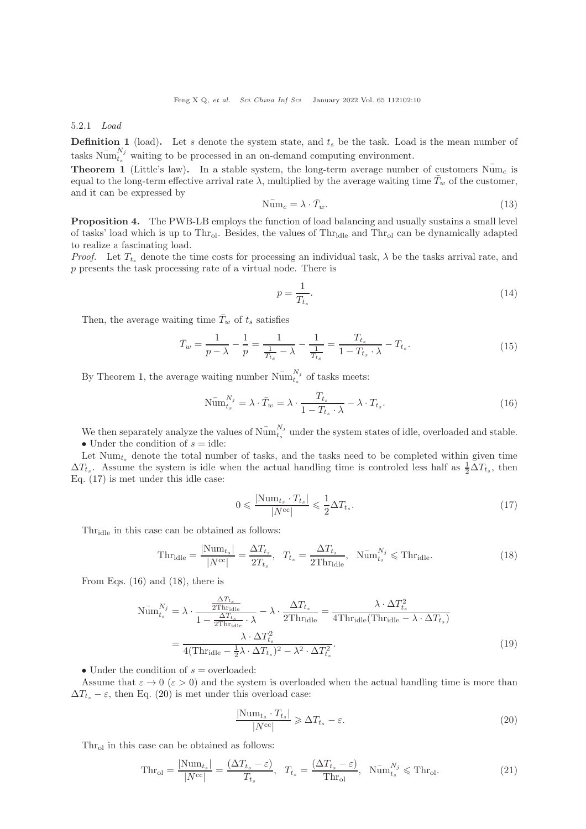5.2.1 Load

**Definition 1** (load). Let s denote the system state, and  $t_s$  be the task. Load is the mean number of tasks  $\bar{\text{Num}}_{t_s}^{N_j}$  waiting to be processed in an on-demand computing environment.

<span id="page-9-0"></span>**Theorem 1** (Little's law). In a stable system, the long-term average number of customers  $\bar{\text{Num}}_c$  is equal to the long-term effective arrival rate  $\lambda$ , multiplied by the average waiting time  $\bar{T}_w$  of the customer, and it can be expressed by

$$
\widetilde{\text{Num}}_c = \lambda \cdot \bar{T}_w. \tag{13}
$$

Proposition 4. The PWB-LB employs the function of load balancing and usually sustains a small level of tasks' load which is up to  $\text{Thr}_{\text{ol}}$ . Besides, the values of  $\text{Thr}_{\text{old}}$  and  $\text{Thr}_{\text{ol}}$  can be dynamically adapted to realize a fascinating load.

*Proof.* Let  $T_t$  denote the time costs for processing an individual task,  $\lambda$  be the tasks arrival rate, and p presents the task processing rate of a virtual node. There is

$$
p = \frac{1}{T_{t_s}}.\tag{14}
$$

Then, the average waiting time  $\bar{T}_w$  of  $t_s$  satisfies

$$
\bar{T}_w = \frac{1}{p - \lambda} - \frac{1}{p} = \frac{1}{\frac{1}{T_{t_s}} - \lambda} - \frac{1}{\frac{1}{T_{t_s}}} = \frac{T_{t_s}}{1 - T_{t_s} \cdot \lambda} - T_{t_s}.
$$
\n(15)

By Theorem [1,](#page-9-0) the average waiting number  $\widetilde{\text{Num}}_{t_s}^{N_j}$  of tasks meets:

<span id="page-9-2"></span>
$$
\widetilde{\mathrm{Num}}_{t_s}^{N_j} = \lambda \cdot \bar{T}_w = \lambda \cdot \frac{T_{t_s}}{1 - T_{t_s} \cdot \lambda} - \lambda \cdot T_{t_s}.
$$
\n(16)

We then separately analyze the values of  $\lim_{t_s}^{N_j}$  $t_s^{\alpha_j}$  under the system states of idle, overloaded and stable. • Under the condition of  $s = id$ le:

Let  $Num_{t_s}$  denote the total number of tasks, and the tasks need to be completed within given time  $\Delta T_{t_s}$ . Assume the system is idle when the actual handling time is controled less half as  $\frac{1}{2}\Delta T_{t_s}$ , then Eq. [\(17\)](#page-9-1) is met under this idle case:

<span id="page-9-1"></span>
$$
0 \leqslant \frac{|\text{Num}_{t_s} \cdot T_{t_s}|}{|N^{\text{cc}}|} \leqslant \frac{1}{2} \Delta T_{t_s}.
$$
\n
$$
(17)
$$

Thr<sub>idle</sub> in this case can be obtained as follows:

<span id="page-9-3"></span>
$$
\text{Thr}_{\text{idle}} = \frac{|\text{Num}_{t_s}|}{|N^{\text{cc}}|} = \frac{\Delta T_{t_s}}{2T_{t_s}}, \quad T_{t_s} = \frac{\Delta T_{t_s}}{2\text{Thr}_{\text{idle}}}, \quad \text{Num}_{t_s}^{N_j} \leqslant \text{Thr}_{\text{idle}}.
$$
\n
$$
(18)
$$

From Eqs. [\(16\)](#page-9-2) and [\(18\)](#page-9-3), there is

$$
\widetilde{\text{Num}}_{t_s}^{N_j} = \lambda \cdot \frac{\frac{\Delta T_{t_s}}{2\text{Thr}_{\text{idle}}}}{1 - \frac{\Delta T_{t_s}}{2\text{Thr}_{\text{idle}}}} - \lambda \cdot \frac{\Delta T_{t_s}}{2\text{Thr}_{\text{idle}}} = \frac{\lambda \cdot \Delta T_{t_s}^2}{4\text{Thr}_{\text{idle}}(\text{Thr}_{\text{idle}} - \lambda \cdot \Delta T_{t_s})}
$$
\n
$$
= \frac{\lambda \cdot \Delta T_{t_s}^2}{4(\text{Thr}_{\text{idle}} - \frac{1}{2}\lambda \cdot \Delta T_{t_s})^2 - \lambda^2 \cdot \Delta T_{t_s}^2}.
$$
\n(19)

• Under the condition of  $s =$  overloaded:

Assume that  $\varepsilon \to 0$  ( $\varepsilon > 0$ ) and the system is overloaded when the actual handling time is more than  $\Delta T_{ts} - \varepsilon$ , then Eq. [\(20\)](#page-9-4) is met under this overload case:

<span id="page-9-4"></span>
$$
\frac{|\text{Num}_{t_s} \cdot T_{t_s}|}{|N^{\text{cc}}|} \geq \Delta T_{t_s} - \varepsilon. \tag{20}
$$

 $Thr<sub>ol</sub>$  in this case can be obtained as follows:

<span id="page-9-5"></span>
$$
\text{Thr}_{\text{ol}} = \frac{|\text{Num}_{t_s}|}{|N^{\text{cc}}|} = \frac{(\Delta T_{t_s} - \varepsilon)}{T_{t_s}}, \quad T_{t_s} = \frac{(\Delta T_{t_s} - \varepsilon)}{\text{Thr}_{\text{ol}}}, \quad \text{Num}_{t_s}^{N_j} \leq \text{Thr}_{\text{ol}}.
$$
\n
$$
(21)
$$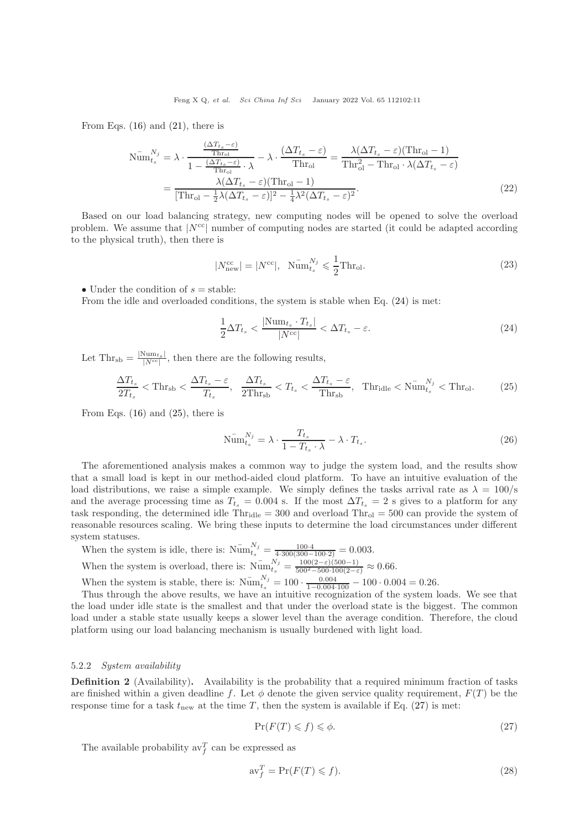From Eqs.  $(16)$  and  $(21)$ , there is

$$
\widetilde{\text{Num}}_{t_s}^{N_j} = \lambda \cdot \frac{\frac{(\Delta T_{t_s} - \varepsilon)}{\text{Thr}_{\text{ol}}}}{1 - \frac{(\Delta T_{t_s} - \varepsilon)}{\text{Thr}_{\text{ol}}}} - \lambda \cdot \frac{(\Delta T_{t_s} - \varepsilon)}{\text{Thr}_{\text{ol}}} = \frac{\lambda (\Delta T_{t_s} - \varepsilon)(\text{Thr}_{\text{ol}} - 1)}{\text{Thr}_{\text{ol}}^2 - \text{Thr}_{\text{ol}} \cdot \lambda (\Delta T_{t_s} - \varepsilon)}
$$
\n
$$
= \frac{\lambda (\Delta T_{t_s} - \varepsilon)(\text{Thr}_{\text{ol}} - 1)}{[\text{Thr}_{\text{ol}} - \frac{1}{2}\lambda(\Delta T_{t_s} - \varepsilon)]^2 - \frac{1}{4}\lambda^2(\Delta T_{t_s} - \varepsilon)^2}.
$$
\n(22)

Based on our load balancing strategy, new computing nodes will be opened to solve the overload problem. We assume that  $|N^{cc}|$  number of computing nodes are started (it could be adapted according to the physical truth), then there is

$$
|N_{\text{new}}^{\text{cc}}| = |N^{\text{cc}}|, \quad \bar{\text{Num}}_{t_s}^{N_j} \leqslant \frac{1}{2} \text{Thr}_{\text{ol}}.\tag{23}
$$

• Under the condition of  $s =$  stable:

From the idle and overloaded conditions, the system is stable when Eq. [\(24\)](#page-10-0) is met:

<span id="page-10-0"></span>
$$
\frac{1}{2}\Delta T_{t_s} < \frac{|\text{Num}_{t_s} \cdot T_{t_s}|}{|N^{\text{cc}}|} < \Delta T_{t_s} - \varepsilon. \tag{24}
$$

Let  $\text{Thr}_{sb} = \frac{|\text{Num}_{ts}|}{|N^{cc}|}$ , then there are the following results,

<span id="page-10-1"></span>
$$
\frac{\Delta T_{t_s}}{2T_{t_s}} < \text{Thr}_{\text{sb}} < \frac{\Delta T_{t_s} - \varepsilon}{T_{t_s}}, \quad \frac{\Delta T_{t_s}}{2\text{Thr}_{\text{sb}}} < T_{t_s} < \frac{\Delta T_{t_s} - \varepsilon}{\text{Thr}_{\text{sb}}}, \quad \text{Thr}_{\text{idle}} < \text{Num}_{t_s}^{N_j} < \text{Thr}_{\text{ol}}.
$$
 (25)

From Eqs.  $(16)$  and  $(25)$ , there is

$$
\bar{\text{Num}}_{t_s}^{N_j} = \lambda \cdot \frac{T_{t_s}}{1 - T_{t_s} \cdot \lambda} - \lambda \cdot T_{t_s}.
$$
\n(26)

The aforementioned analysis makes a common way to judge the system load, and the results show that a small load is kept in our method-aided cloud platform. To have an intuitive evaluation of the load distributions, we raise a simple example. We simply defines the tasks arrival rate as  $\lambda = 100/\text{s}$ and the average processing time as  $T_{t_s} = 0.004$  s. If the most  $\Delta T_{t_s} = 2$  s gives to a platform for any task responding, the determined idle  $Thr_{idle} = 300$  and overload  $Thr_{ol} = 500$  can provide the system of reasonable resources scaling. We bring these inputs to determine the load circumstances under different system statuses.

When the system is idle, there is:  $\bar{\text{Num}}_{t_s}^{N_j} = \frac{100.4}{4 \cdot 300(300 - 100.2)} = 0.003$ . When the system is overload, there is:  $\bar{\text{Num}}_{t_s}^{N_j} = \frac{100(2-\varepsilon)(500-1)}{500^2 - 500 \cdot 100(2-\varepsilon)} \approx 0.66$ .

When the system is stable, there is:  $\bar{\text{Num}}_{t_s}^{N_j} = 100 \cdot \frac{0.004}{1 - 0.004 \cdot 100} - 100 \cdot 0.004 = 0.26$ .

Thus through the above results, we have an intuitive recognization of the system loads. We see that the load under idle state is the smallest and that under the overload state is the biggest. The common load under a stable state usually keeps a slower level than the average condition. Therefore, the cloud platform using our load balancing mechanism is usually burdened with light load.

#### 5.2.2 System availability

Definition 2 (Availability). Availability is the probability that a required minimum fraction of tasks are finished within a given deadline f. Let  $\phi$  denote the given service quality requirement,  $F(T)$  be the response time for a task  $t_{\text{new}}$  at the time T, then the system is available if Eq. [\(27\)](#page-10-2) is met:

<span id="page-10-2"></span>
$$
\Pr(F(T) \leqslant f) \leqslant \phi. \tag{27}
$$

The available probability  $\mathrm{av}_{f}^{T}$  can be expressed as

<span id="page-10-3"></span>
$$
\operatorname{av}_{f}^{T} = \operatorname{Pr}(F(T) \leqslant f). \tag{28}
$$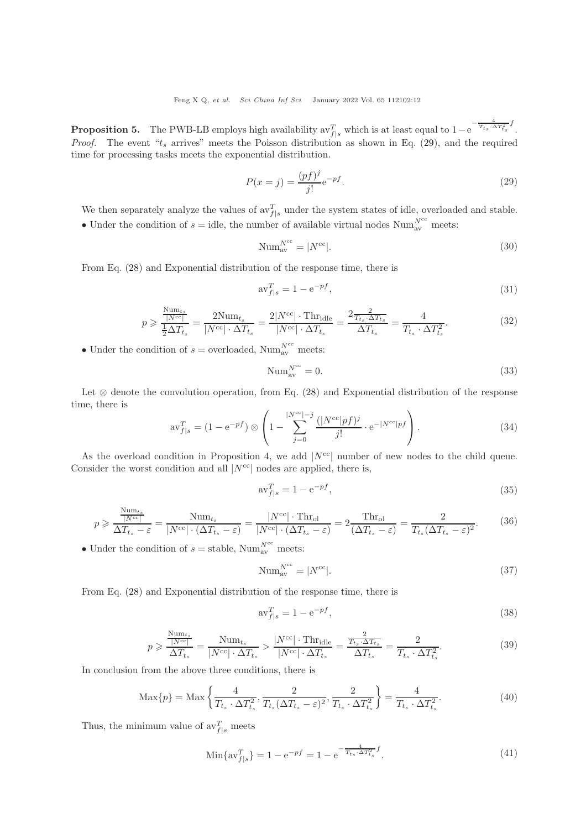**Proposition 5.** The PWB-LB employs high availability  $\mathrm{av}_{f|s}^T$  which is at least equal to 1-e  $-\frac{4}{T_{t_S}\cdot \Delta T_{t_S}^2}f$ *Proof.* The event " $t_s$  arrives" meets the Poisson distribution as shown in Eq. [\(29\)](#page-11-0), and the required time for processing tasks meets the exponential distribution.

<span id="page-11-0"></span>
$$
P(x = j) = \frac{(pf)^j}{j!} e^{-pf}.
$$
\n(29)

We then separately analyze the values of  $\mathrm{av}_{f|s}^T$  under the system states of idle, overloaded and stable. • Under the condition of  $s =$  idle, the number of available virtual nodes Num<sub>a</sub><sup>Ncc</sup> meets:

$$
\text{Num}_{\text{av}}^{N^{\text{cc}}} = |N^{\text{cc}}|.\tag{30}
$$

From Eq. [\(28\)](#page-10-3) and Exponential distribution of the response time, there is

$$
\text{av}_{f|s}^T = 1 - \text{e}^{-pf},\tag{31}
$$

$$
p \geqslant \frac{\frac{\text{Num}_{ts}}{|N^{\text{cc}}|}}{\frac{1}{2}\Delta T_{t_s}} = \frac{2\text{Num}_{t_s}}{|N^{\text{cc}}| \cdot \Delta T_{t_s}} = \frac{2|N^{\text{cc}}| \cdot \text{Thr}_{\text{idle}}}{|N^{\text{cc}}| \cdot \Delta T_{t_s}} = \frac{2\frac{2}{T_{t_s} \cdot \Delta T_{t_s}}}{\Delta T_{t_s}} = \frac{4}{T_{t_s} \cdot \Delta T_{t_s}^2}.
$$
\n
$$
(32)
$$

• Under the condition of  $s$  = overloaded, Num<sub>av</sub><sup>rcc</sup> meets:

$$
\text{Num}_{\text{av}}^{N^{\text{cc}}} = 0. \tag{33}
$$

Let  $\otimes$  denote the convolution operation, from Eq. [\(28\)](#page-10-3) and Exponential distribution of the response time, there is

$$
\text{av}_{f|s}^T = (1 - e^{-pf}) \otimes \left(1 - \sum_{j=0}^{|N^{\text{cc}}|-j} \frac{(|N^{\text{cc}}|pf)^j}{j!} \cdot e^{-|N^{\text{cc}}|pf} \right). \tag{34}
$$

As the overload condition in Proposition 4, we add  $|N^{cc}|$  number of new nodes to the child queue. Consider the worst condition and all  $|N^{cc}|$  nodes are applied, there is,

$$
\mathrm{av}_{f|s}^T = 1 - \mathrm{e}^{-pf},\tag{35}
$$

$$
p \geqslant \frac{\frac{\text{Num}_{t_s}}{|N^{\text{cc}}|}}{\Delta T_{t_s} - \varepsilon} = \frac{\text{Num}_{t_s}}{|N^{\text{cc}}| \cdot (\Delta T_{t_s} - \varepsilon)} = \frac{|N^{\text{cc}}| \cdot \text{Thr}_{\text{ol}}}{|N^{\text{cc}}| \cdot (\Delta T_{t_s} - \varepsilon)} = 2 \frac{\text{Thr}_{\text{ol}}}{(\Delta T_{t_s} - \varepsilon)} = \frac{2}{T_{t_s} (\Delta T_{t_s} - \varepsilon)^2}.
$$
(36)

• Under the condition of  $s =$  stable, Num<sup>Ncc</sup> meets:

$$
\text{Num}_{\text{av}}^{N^{\text{cc}}} = |N^{\text{cc}}|.\tag{37}
$$

From Eq. [\(28\)](#page-10-3) and Exponential distribution of the response time, there is

$$
\text{av}_{f|s}^T = 1 - \text{e}^{-pf},\tag{38}
$$

$$
p \geqslant \frac{\frac{\text{Num}_{t_s}}{|N^{\text{cc}}|}}{\Delta T_{t_s}} = \frac{\text{Num}_{t_s}}{|N^{\text{cc}}| \cdot \Delta T_{t_s}} > \frac{|N^{\text{cc}}| \cdot \text{Thr}_{\text{idle}}}{|N^{\text{cc}}| \cdot \Delta T_{t_s}} = \frac{\frac{2}{T_{t_s} \cdot \Delta T_{t_s}}}{\Delta T_{t_s}} = \frac{2}{T_{t_s} \cdot \Delta T_{t_s}^2}.
$$
(39)

In conclusion from the above three conditions, there is

$$
\text{Max}\{p\} = \text{Max}\left\{\frac{4}{T_{t_s} \cdot \Delta T_{t_s}^2}, \frac{2}{T_{t_s}(\Delta T_{t_s} - \varepsilon)^2}, \frac{2}{T_{t_s} \cdot \Delta T_{t_s}^2}\right\} = \frac{4}{T_{t_s} \cdot \Delta T_{t_s}^2}.
$$
\n(40)

Thus, the minimum value of  $\text{av}_{f|s}^T$  meets

$$
\text{Min}\{\text{av}_{f|s}^T\} = 1 - \text{e}^{-pf} = 1 - \text{e}^{-\frac{4}{T_{t_s} \cdot \Delta T_{t_s}^2} f}.\tag{41}
$$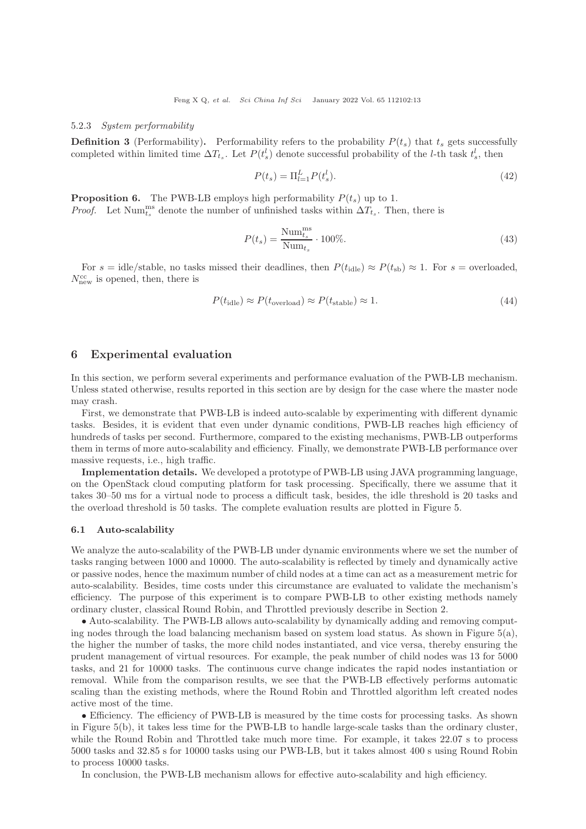#### 5.2.3 System performability

**Definition 3** (Performability). Performability refers to the probability  $P(t_s)$  that  $t_s$  gets successfully completed within limited time  $\Delta T_{t_s}$ . Let  $P(t_s^l)$  denote successful probability of the *l*-th task  $t_s^l$ , then

$$
P(t_s) = \Pi_{l=1}^L P(t_s^l). \tag{42}
$$

**Proposition 6.** The PWB-LB employs high performability  $P(t_s)$  up to 1. *Proof.* Let Num<sup>ms</sup> denote the number of unfinished tasks within  $\Delta T_{t_s}$ . Then, there is

$$
P(t_s) = \frac{\text{Num}_{t_s}^{\text{ms}}}{\text{Num}_{t_s}} \cdot 100\%.\tag{43}
$$

For  $s = \text{idle}/\text{stable}$ , no tasks missed their deadlines, then  $P(t_{\text{idle}}) \approx P(t_{\text{sh}}) \approx 1$ . For  $s = \text{overloaded}$ ,  $N_{\text{new}}^{\text{cc}}$  is opened, then, there is

$$
P(t_{\text{idle}}) \approx P(t_{\text{overload}}) \approx P(t_{\text{stable}}) \approx 1. \tag{44}
$$

# <span id="page-12-0"></span>6 Experimental evaluation

In this section, we perform several experiments and performance evaluation of the PWB-LB mechanism. Unless stated otherwise, results reported in this section are by design for the case where the master node may crash.

First, we demonstrate that PWB-LB is indeed auto-scalable by experimenting with different dynamic tasks. Besides, it is evident that even under dynamic conditions, PWB-LB reaches high efficiency of hundreds of tasks per second. Furthermore, compared to the existing mechanisms, PWB-LB outperforms them in terms of more auto-scalability and efficiency. Finally, we demonstrate PWB-LB performance over massive requests, i.e., high traffic.

Implementation details. We developed a prototype of PWB-LB using JAVA programming language, on the OpenStack cloud computing platform for task processing. Specifically, there we assume that it takes 30–50 ms for a virtual node to process a difficult task, besides, the idle threshold is 20 tasks and the overload threshold is 50 tasks. The complete evaluation results are plotted in Figure [5.](#page-13-0)

#### 6.1 Auto-scalability

We analyze the auto-scalability of the PWB-LB under dynamic environments where we set the number of tasks ranging between 1000 and 10000. The auto-scalability is reflected by timely and dynamically active or passive nodes, hence the maximum number of child nodes at a time can act as a measurement metric for auto-scalability. Besides, time costs under this circumstance are evaluated to validate the mechanism's efficiency. The purpose of this experiment is to compare PWB-LB to other existing methods namely ordinary cluster, classical Round Robin, and Throttled previously describe in Section 2.

• Auto-scalability. The PWB-LB allows auto-scalability by dynamically adding and removing computing nodes through the load balancing mechanism based on system load status. As shown in Figure  $5(a)$ , the higher the number of tasks, the more child nodes instantiated, and vice versa, thereby ensuring the prudent management of virtual resources. For example, the peak number of child nodes was 13 for 5000 tasks, and 21 for 10000 tasks. The continuous curve change indicates the rapid nodes instantiation or removal. While from the comparison results, we see that the PWB-LB effectively performs automatic scaling than the existing methods, where the Round Robin and Throttled algorithm left created nodes active most of the time.

• Efficiency. The efficiency of PWB-LB is measured by the time costs for processing tasks. As shown in Figure 5(b), it takes less time for the PWB-LB to handle large-scale tasks than the ordinary cluster, while the Round Robin and Throttled take much more time. For example, it takes 22.07 s to process 5000 tasks and 32.85 s for 10000 tasks using our PWB-LB, but it takes almost 400 s using Round Robin to process 10000 tasks.

In conclusion, the PWB-LB mechanism allows for effective auto-scalability and high efficiency.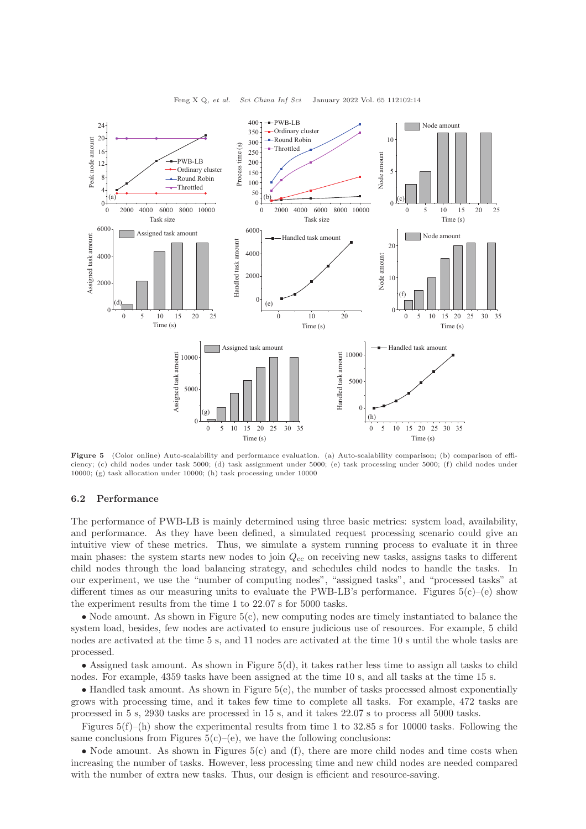<span id="page-13-0"></span>

Feng X Q, et al. Sci China Inf Sci January 2022 Vol. 65 112102:14

Figure 5 (Color online) Auto-scalability and performance evaluation. (a) Auto-scalability comparison; (b) comparison of efficiency; (c) child nodes under task 5000; (d) task assignment under 5000; (e) task processing under 5000; (f) child nodes under 10000; (g) task allocation under 10000; (h) task processing under 10000

#### 6.2 Performance

The performance of PWB-LB is mainly determined using three basic metrics: system load, availability, and performance. As they have been defined, a simulated request processing scenario could give an intuitive view of these metrics. Thus, we simulate a system running process to evaluate it in three main phases: the system starts new nodes to join  $Q_{cc}$  on receiving new tasks, assigns tasks to different child nodes through the load balancing strategy, and schedules child nodes to handle the tasks. In our experiment, we use the "number of computing nodes", "assigned tasks", and "processed tasks" at different times as our measuring units to evaluate the PWB-LB's performance. Figures  $5(c)$ –(e) show the experiment results from the time 1 to 22.07 s for 5000 tasks.

• Node amount. As shown in Figure  $5(c)$ , new computing nodes are timely instantiated to balance the system load, besides, few nodes are activated to ensure judicious use of resources. For example, 5 child nodes are activated at the time 5 s, and 11 nodes are activated at the time 10 s until the whole tasks are processed.

• Assigned task amount. As shown in Figure 5(d), it takes rather less time to assign all tasks to child nodes. For example, 4359 tasks have been assigned at the time 10 s, and all tasks at the time 15 s.

• Handled task amount. As shown in Figure 5(e), the number of tasks processed almost exponentially grows with processing time, and it takes few time to complete all tasks. For example, 472 tasks are processed in 5 s, 2930 tasks are processed in 15 s, and it takes 22.07 s to process all 5000 tasks.

Figures  $5(f)$ –(h) show the experimental results from time 1 to 32.85 s for 10000 tasks. Following the same conclusions from Figures  $5(c)$ –(e), we have the following conclusions:

• Node amount. As shown in Figures  $5(c)$  and  $(f)$ , there are more child nodes and time costs when increasing the number of tasks. However, less processing time and new child nodes are needed compared with the number of extra new tasks. Thus, our design is efficient and resource-saving.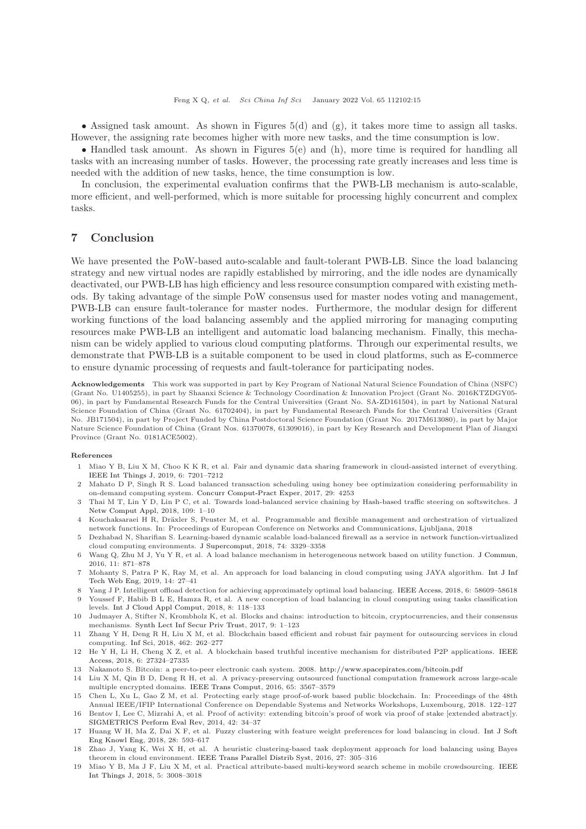Feng X Q, et al. Sci China Inf Sci January 2022 Vol. 65 112102:15

• Assigned task amount. As shown in Figures  $5(d)$  and  $(g)$ , it takes more time to assign all tasks. However, the assigning rate becomes higher with more new tasks, and the time consumption is low.

• Handled task amount. As shown in Figures  $5(e)$  and (h), more time is required for handling all tasks with an increasing number of tasks. However, the processing rate greatly increases and less time is needed with the addition of new tasks, hence, the time consumption is low.

In conclusion, the experimental evaluation confirms that the PWB-LB mechanism is auto-scalable, more efficient, and well-performed, which is more suitable for processing highly concurrent and complex tasks.

## <span id="page-14-16"></span>7 Conclusion

We have presented the PoW-based auto-scalable and fault-tolerant PWB-LB. Since the load balancing strategy and new virtual nodes are rapidly established by mirroring, and the idle nodes are dynamically deactivated, our PWB-LB has high efficiency and less resource consumption compared with existing methods. By taking advantage of the simple PoW consensus used for master nodes voting and management, PWB-LB can ensure fault-tolerance for master nodes. Furthermore, the modular design for different working functions of the load balancing assembly and the applied mirroring for managing computing resources make PWB-LB an intelligent and automatic load balancing mechanism. Finally, this mechanism can be widely applied to various cloud computing platforms. Through our experimental results, we demonstrate that PWB-LB is a suitable component to be used in cloud platforms, such as E-commerce to ensure dynamic processing of requests and fault-tolerance for participating nodes.

Acknowledgements This work was supported in part by Key Program of National Natural Science Foundation of China (NSFC) (Grant No. U1405255), in part by Shaanxi Science & Technology Coordination & Innovation Project (Grant No. 2016KTZDGY05- 06), in part by Fundamental Research Funds for the Central Universities (Grant No. SA-ZD161504), in part by National Natural Science Foundation of China (Grant No. 61702404), in part by Fundamental Research Funds for the Central Universities (Grant No. JB171504), in part by Project Funded by China Postdoctoral Science Foundation (Grant No. 2017M613080), in part by Major Nature Science Foundation of China (Grant Nos. 61370078, 61309016), in part by Key Research and Development Plan of Jiangxi Province (Grant No. 0181ACE5002).

#### <span id="page-14-0"></span>References

- 1 Miao Y B, Liu X M, Choo K K R, et al. Fair and dynamic data sharing framework in cloud-assisted internet of everything. [IEEE Int Things J,](https://doi.org/10.1109/JIOT.2019.2915123) 2019, 6: 7201–7212
- <span id="page-14-1"></span>2 Mahato D P, Singh R S. Load balanced transaction scheduling using honey bee optimization considering performability in on-demand computing system. [Concurr Comput-Pract Exper,](https://doi.org/10.1002/cpe.4253) 2017, 29: 4253
- <span id="page-14-2"></span>3 Thai M T, Lin Y D, Lin P C, et al. Towards load-balanced service chaining by Hash-based traffic steering on softswitches. J Netw Comput Appl, 2018, 109: 1–10
- <span id="page-14-3"></span>4 Kouchaksaraei H R, Dräxler S, Peuster M, et al. Programmable and flexible management and orchestration of virtualized network functions. In: Proceedings of European Conference on Networks and Communications, Ljubljana, 2018
- <span id="page-14-4"></span>5 Dezhabad N, Sharifian S. Learning-based dynamic scalable load-balanced firewall as a service in network function-virtualized cloud computing environments. [J Supercomput,](https://doi.org/10.1007/s11227-018-2387-5) 2018, 74: 3329–3358
- <span id="page-14-5"></span>6 Wang Q, Zhu M J, Yu Y R, et al. A load balance mechanism in heterogeneous network based on utility function. [J Commun,](https://doi.org/10.12720/jcm.11.9.871-878) 2016, 11: 871–878
- 7 Mohanty S, Patra P K, Ray M, et al. An approach for load balancing in cloud computing using JAYA algorithm. Int J Inf Tech Web Eng, 2019, 14: 27–41
- <span id="page-14-6"></span>8 Yang J P. Intelligent offload detection for achieving approximately optimal load balancing. [IEEE Access,](https://doi.org/10.1109/ACCESS.2018.2873287) 2018, 6: 58609–58618
- 9 Youssef F, Habib B L E, Hamza R, et al. A new conception of load balancing in cloud computing using tasks classification levels. [Int J Cloud Appl Comput,](https://doi.org/10.4018/IJCAC.2018100107) 2018, 8: 118–133
- <span id="page-14-7"></span>10 Judmayer A, Stifter N, Krombholz K, et al. Blocks and chains: introduction to bitcoin, cryptocurrencies, and their consensus mechanisms. [Synth Lect Inf Secur Priv Trust,](https://doi.org/10.2200/s00773ed1v01y201704spt020) 2017, 9: 1–123
- 11 Zhang Y H, Deng R H, Liu X M, et al. Blockchain based efficient and robust fair payment for outsourcing services in cloud computing. [Inf Sci,](https://doi.org/10.1016/j.ins.2018.06.018) 2018, 462: 262–277
- <span id="page-14-8"></span>12 He Y [H, Li H, Cheng X Z, et al. A blockchain based truthful incentive mechanism for distributed P2P applications.](https://doi.org/10.1109/ACCESS.2018.2821705) IEEE Access, 2018, 6: 27324–27335
- <span id="page-14-10"></span><span id="page-14-9"></span>13 Nakamoto S. Bitcoin: a peer-to-peer electronic cash system. 2008. <http://www.spacepirates.com/bitcoin.pdf>
- 14 Liu X M, Qin B D, Deng R H, et al. A privacy-preserving outsourced functional computation framework across large-scale multiple encrypted domains. [IEEE Trans Comput,](https://doi.org/10.1109/TC.2016.2543220) 2016, 65: 3567–3579
- <span id="page-14-11"></span>15 Chen L, Xu L, Gao Z M, et al. Protecting early stage proof-of-work based public blockchain. In: Proceedings of the 48th Annual IEEE/IFIP International Conference on Dependable Systems and Networks Workshops, Luxembourg, 2018. 122–127
- <span id="page-14-12"></span>16 Bentov I, Lee C, Mizrahi A, et al. Proof of activity: extending bitcoin's proof of work via proof of stake [extended abstract]y. [SIGMETRICS Perform Eval Rev,](https://doi.org/10.1145/2695533.2695545) 2014, 42: 34–37
- <span id="page-14-13"></span>17 Huang W H, Ma Z, Dai X F, et al. Fuzzy clustering with feature weight preferences for load balancing in cloud. Int J Soft Eng Knowl Eng, 2018, 28: 593–617
- <span id="page-14-14"></span>18 Zhao J, Yang K, Wei X H, et al. A heuristic clustering-based task deployment approach for load balancing using Bayes theorem in cloud environment. [IEEE Trans Parallel Distrib Syst,](https://doi.org/10.1109/TPDS.2015.2402655) 2016, 27: 305–316
- <span id="page-14-15"></span>19 Miao Y B, Ma J F, Liu X M, et al. Practical attribute-based multi-keyword search scheme in mobile crowdsourcing. IEEE Int Things J, 2018, 5: 3008–3018